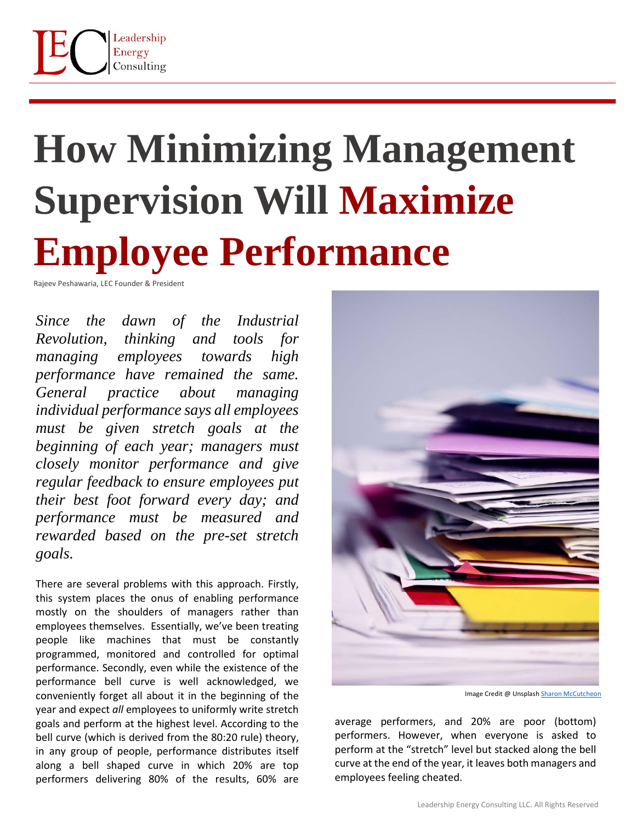

## **How Minimizing Management Supervision Will Maximize Employee Performance**

Rajeev Peshawaria, LEC Founder & President

*Since the dawn of the Industrial Revolution, thinking and tools for managing employees towards high performance have remained the same. General practice about managing individual performance says all employees must be given stretch goals at the beginning of each year; managers must closely monitor performance and give regular feedback to ensure employees put their best foot forward every day; and performance must be measured and rewarded based on the pre-set stretch goals.* 

There are several problems with this approach. Firstly, this system places the onus of enabling performance mostly on the shoulders of managers rather than employees themselves. Essentially, we've been treating people like machines that must be constantly programmed, monitored and controlled for optimal performance. Secondly, even while the existence of the performance bell curve is well acknowledged, we conveniently forget all about it in the beginning of the year and expect *all* employees to uniformly write stretch goals and perform at the highest level. According to the bell curve (which is derived from the 80:20 rule) theory, in any group of people, performance distributes itself along a bell shaped curve in which 20% are top performers delivering 80% of the results, 60% are



Image Credit @ Unsplas[h Sharon McCutcheon](https://unsplash.com/photos/tn57JI3CewI)

average performers, and 20% are poor (bottom) performers. However, when everyone is asked to perform at the "stretch" level but stacked along the bell curve at the end of the year, it leaves both managers and employees feeling cheated.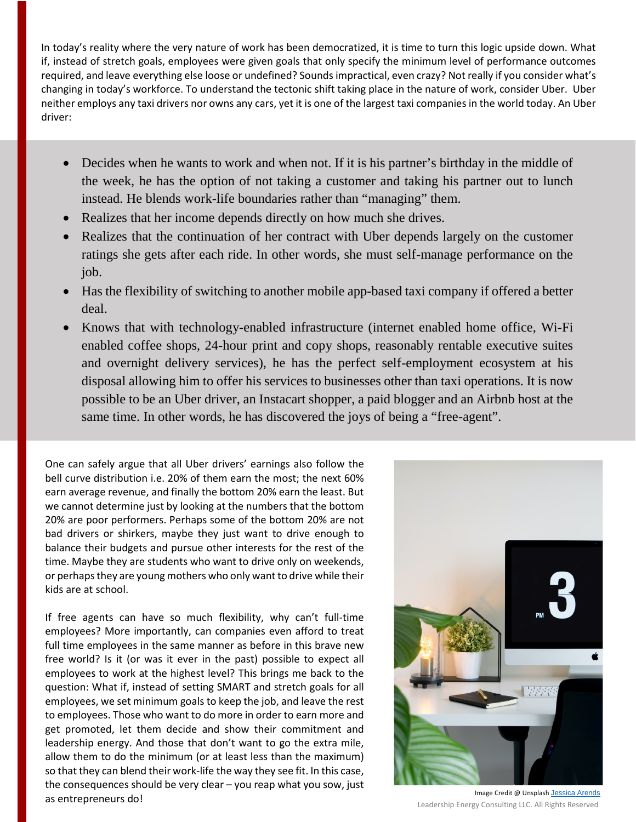In today's reality where the very nature of work has been democratized, it is time to turn this logic upside down. What if, instead of stretch goals, employees were given goals that only specify the minimum level of performance outcomes required, and leave everything else loose or undefined? Sounds impractical, even crazy? Not really if you consider what's changing in today's workforce. To understand the tectonic shift taking place in the nature of work, consider Uber. Uber neither employs any taxi drivers nor owns any cars, yet it is one of the largest taxi companies in the world today. An Uber driver:

- Decides when he wants to work and when not. If it is his partner's birthday in the middle of the week, he has the option of not taking a customer and taking his partner out to lunch instead. He blends work-life boundaries rather than "managing" them.
- Realizes that her income depends directly on how much she drives.
- Realizes that the continuation of her contract with Uber depends largely on the customer ratings she gets after each ride. In other words, she must self-manage performance on the job.
- Has the flexibility of switching to another mobile app-based taxi company if offered a better deal.
- Knows that with technology-enabled infrastructure (internet enabled home office, Wi-Fi enabled coffee shops, 24-hour print and copy shops, reasonably rentable executive suites and overnight delivery services), he has the perfect self-employment ecosystem at his disposal allowing him to offer his services to businesses other than taxi operations. It is now possible to be an Uber driver, an Instacart shopper, a paid blogger and an Airbnb host at the same time. In other words, he has discovered the joys of being a "free-agent".

One can safely argue that all Uber drivers' earnings also follow the bell curve distribution i.e. 20% of them earn the most; the next 60% earn average revenue, and finally the bottom 20% earn the least. But we cannot determine just by looking at the numbers that the bottom 20% are poor performers. Perhaps some of the bottom 20% are not bad drivers or shirkers, maybe they just want to drive enough to balance their budgets and pursue other interests for the rest of the time. Maybe they are students who want to drive only on weekends, or perhaps they are young mothers who only want to drive while their kids are at school.

Image Credit @ Unsplash [Jessica Arends](https://unsplash.com/photos/UzPbvwqvKNE)<br>Leadership Energy Consulting LLC. All Rights Reserved If free agents can have so much flexibility, why can't full-time employees? More importantly, can companies even afford to treat full time employees in the same manner as before in this brave new free world? Is it (or was it ever in the past) possible to expect all employees to work at the highest level? This brings me back to the question: What if, instead of setting SMART and stretch goals for all employees, we set minimum goals to keep the job, and leave the rest to employees. Those who want to do more in order to earn more and get promoted, let them decide and show their commitment and leadership energy. And those that don't want to go the extra mile, allow them to do the minimum (or at least less than the maximum) so that they can blend their work-life the way they see fit. In this case, the consequences should be very clear – you reap what you sow, just